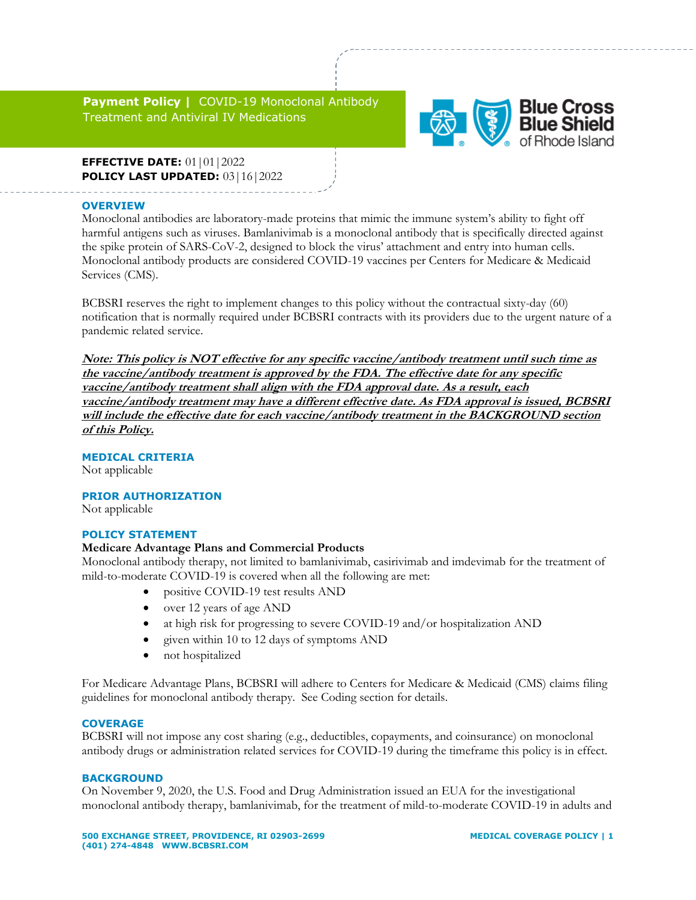**Payment Policy |** COVID-19 Monoclonal Antibody Treatment and Antiviral IV Medications



**EFFECTIVE DATE:** 01|01|2022 **POLICY LAST UPDATED:** 03 | 16 | 2022

### **OVERVIEW**

Monoclonal antibodies are laboratory-made proteins that mimic the immune system's ability to fight off harmful antigens such as viruses. Bamlanivimab is a monoclonal antibody that is specifically directed against the spike protein of SARS-CoV-2, designed to block the virus' attachment and entry into human cells. Monoclonal antibody products are considered COVID-19 vaccines per Centers for Medicare & Medicaid Services (CMS).

BCBSRI reserves the right to implement changes to this policy without the contractual sixty-day (60) notification that is normally required under BCBSRI contracts with its providers due to the urgent nature of a pandemic related service.

**Note: This policy is NOT effective for any specific vaccine/antibody treatment until such time as the vaccine/antibody treatment is approved by the FDA. The effective date for any specific vaccine/antibody treatment shall align with the FDA approval date. As a result, each vaccine/antibody treatment may have a different effective date. As FDA approval is issued, BCBSRI will include the effective date for each vaccine/antibody treatment in the BACKGROUND section of this Policy.**

## **MEDICAL CRITERIA**

Not applicable

## **PRIOR AUTHORIZATION**

Not applicable

#### **POLICY STATEMENT**

#### **Medicare Advantage Plans and Commercial Products**

Monoclonal antibody therapy, not limited to bamlanivimab, casirivimab and imdevimab for the treatment of mild-to-moderate COVID-19 is covered when all the following are met:

- positive COVID-19 test results AND
- over 12 years of age AND
- at high risk for progressing to severe COVID-19 and/or hospitalization AND
- given within 10 to 12 days of symptoms AND
- not hospitalized

For Medicare Advantage Plans, BCBSRI will adhere to Centers for Medicare & Medicaid (CMS) claims filing guidelines for monoclonal antibody therapy. See Coding section for details.

#### **COVERAGE**

BCBSRI will not impose any cost sharing (e.g., deductibles, copayments, and coinsurance) on monoclonal antibody drugs or administration related services for COVID-19 during the timeframe this policy is in effect.

#### **BACKGROUND**

On November 9, 2020, the U.S. Food and Drug Administration issued an EUA for the investigational monoclonal antibody therapy, bamlanivimab, for the treatment of mild-to-moderate COVID-19 in adults and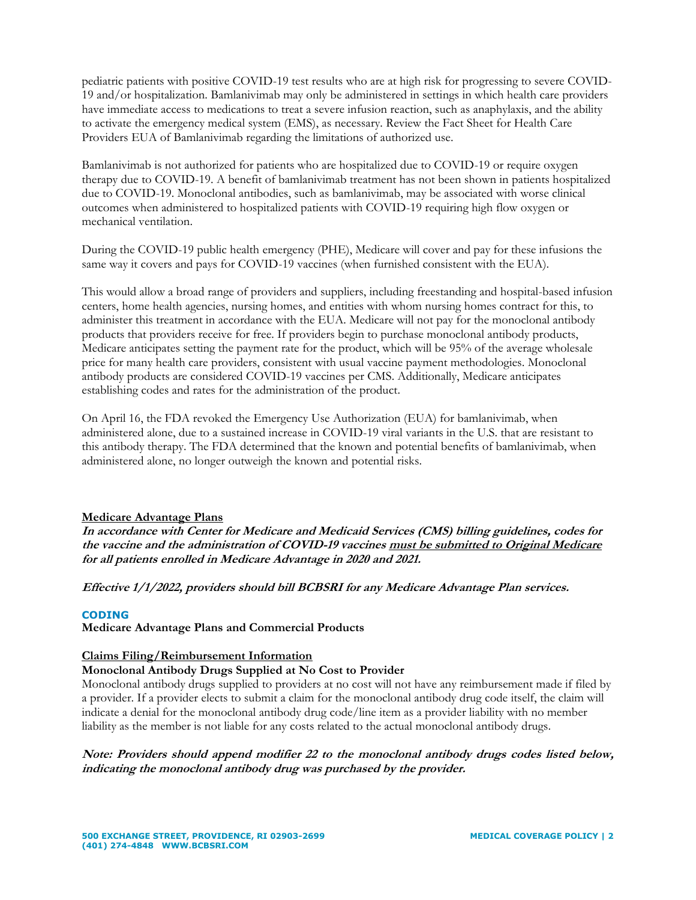pediatric patients with positive COVID-19 test results who are at high risk for progressing to severe COVID-19 and/or hospitalization. Bamlanivimab may only be administered in settings in which health care providers have immediate access to medications to treat a severe infusion reaction, such as anaphylaxis, and the ability to activate the emergency medical system (EMS), as necessary. Review the Fact Sheet for Health Care Providers EUA of Bamlanivimab regarding the limitations of authorized use.

Bamlanivimab is not authorized for patients who are hospitalized due to COVID-19 or require oxygen therapy due to COVID-19. A benefit of bamlanivimab treatment has not been shown in patients hospitalized due to COVID-19. Monoclonal antibodies, such as bamlanivimab, may be associated with worse clinical outcomes when administered to hospitalized patients with COVID-19 requiring high flow oxygen or mechanical ventilation.

During the COVID-19 public health emergency (PHE), Medicare will cover and pay for these infusions the same way it covers and pays for COVID-19 vaccines (when furnished consistent with the EUA).

This would allow a broad range of providers and suppliers, including freestanding and hospital-based infusion centers, home health agencies, nursing homes, and entities with whom nursing homes contract for this, to administer this treatment in accordance with the EUA. Medicare will not pay for the monoclonal antibody products that providers receive for free. If providers begin to purchase monoclonal antibody products, Medicare anticipates setting the payment rate for the product, which will be 95% of the average wholesale price for many health care providers, consistent with usual vaccine payment methodologies. Monoclonal antibody products are considered COVID-19 vaccines per CMS. Additionally, Medicare anticipates establishing codes and rates for the administration of the product.

On April 16, the FDA revoked the Emergency Use Authorization (EUA) for bamlanivimab, when administered alone, due to a sustained increase in COVID-19 viral variants in the U.S. that are resistant to this antibody therapy. The FDA determined that the known and potential benefits of bamlanivimab, when administered alone, no longer outweigh the known and potential risks.

## **Medicare Advantage Plans**

**In accordance with Center for Medicare and Medicaid Services (CMS) billing guidelines, codes for the vaccine and the administration of COVID-19 vaccines must be submitted to Original Medicare for all patients enrolled in Medicare Advantage in 2020 and 2021.**

**Effective 1/1/2022, providers should bill BCBSRI for any Medicare Advantage Plan services.**

#### **CODING**

**Medicare Advantage Plans and Commercial Products** 

## **Claims Filing/Reimbursement Information**

#### **Monoclonal Antibody Drugs Supplied at No Cost to Provider**

Monoclonal antibody drugs supplied to providers at no cost will not have any reimbursement made if filed by a provider. If a provider elects to submit a claim for the monoclonal antibody drug code itself, the claim will indicate a denial for the monoclonal antibody drug code/line item as a provider liability with no member liability as the member is not liable for any costs related to the actual monoclonal antibody drugs.

**Note: Providers should append modifier 22 to the monoclonal antibody drugs codes listed below, indicating the monoclonal antibody drug was purchased by the provider.**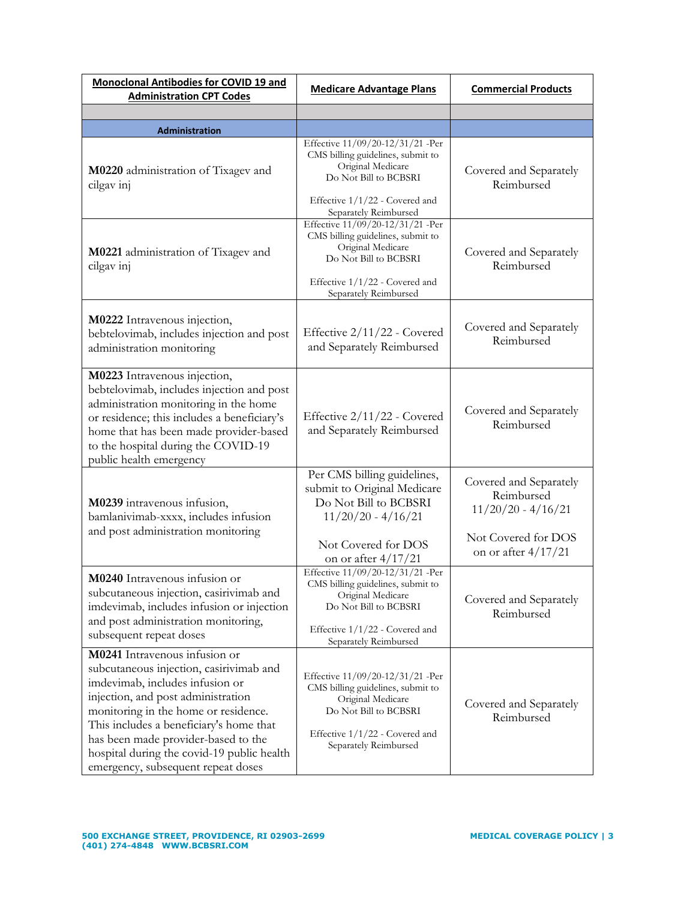| Monoclonal Antibodies for COVID 19 and<br><b>Administration CPT Codes</b>                                                                                                                                                                                                                                                                                       | <b>Medicare Advantage Plans</b>                                                                                                                                                                         | <b>Commercial Products</b>                                                                                   |
|-----------------------------------------------------------------------------------------------------------------------------------------------------------------------------------------------------------------------------------------------------------------------------------------------------------------------------------------------------------------|---------------------------------------------------------------------------------------------------------------------------------------------------------------------------------------------------------|--------------------------------------------------------------------------------------------------------------|
|                                                                                                                                                                                                                                                                                                                                                                 |                                                                                                                                                                                                         |                                                                                                              |
| <b>Administration</b>                                                                                                                                                                                                                                                                                                                                           |                                                                                                                                                                                                         |                                                                                                              |
| M0220 administration of Tixagev and<br>cilgav inj                                                                                                                                                                                                                                                                                                               | Effective 11/09/20-12/31/21 -Per<br>CMS billing guidelines, submit to<br>Original Medicare<br>Do Not Bill to BCBSRI<br>Effective 1/1/22 - Covered and<br>Separately Reimbursed                          | Covered and Separately<br>Reimbursed                                                                         |
| M0221 administration of Tixagev and<br>cilgav inj                                                                                                                                                                                                                                                                                                               | Effective 11/09/20-12/31/21 -Per<br>CMS billing guidelines, submit to<br>Original Medicare<br>Do Not Bill to BCBSRI<br>Effective 1/1/22 - Covered and<br>Separately Reimbursed                          | Covered and Separately<br>Reimbursed                                                                         |
| M0222 Intravenous injection,<br>bebtelovimab, includes injection and post<br>administration monitoring                                                                                                                                                                                                                                                          | Effective 2/11/22 - Covered<br>and Separately Reimbursed                                                                                                                                                | Covered and Separately<br>Reimbursed                                                                         |
| M0223 Intravenous injection,<br>bebtelovimab, includes injection and post<br>administration monitoring in the home<br>or residence; this includes a beneficiary's<br>home that has been made provider-based<br>to the hospital during the COVID-19<br>public health emergency                                                                                   | Effective 2/11/22 - Covered<br>and Separately Reimbursed                                                                                                                                                | Covered and Separately<br>Reimbursed                                                                         |
| M0239 intravenous infusion,<br>bamlanivimab-xxxx, includes infusion<br>and post administration monitoring                                                                                                                                                                                                                                                       | Per CMS billing guidelines,<br>submit to Original Medicare<br>Do Not Bill to BCBSRI<br>$11/20/20 - 4/16/21$<br>Not Covered for DOS                                                                      | Covered and Separately<br>Reimbursed<br>$11/20/20 - 4/16/21$<br>Not Covered for DOS<br>on or after $4/17/21$ |
| M0240 Intravenous infusion or<br>subcutaneous injection, casinvimab and<br>imdevimab, includes infusion or injection<br>and post administration monitoring,<br>subsequent repeat doses                                                                                                                                                                          | on or after 4/17/21<br>Effective 11/09/20-12/31/21 -Per<br>CMS billing guidelines, submit to<br>Original Medicare<br>Do Not Bill to BCBSRI<br>Effective $1/1/22$ - Covered and<br>Separately Reimbursed | Covered and Separately<br>Reimbursed                                                                         |
| M0241 Intravenous infusion or<br>subcutaneous injection, casirivimab and<br>imdevimab, includes infusion or<br>injection, and post administration<br>monitoring in the home or residence.<br>This includes a beneficiary's home that<br>has been made provider-based to the<br>hospital during the covid-19 public health<br>emergency, subsequent repeat doses | Effective 11/09/20-12/31/21 -Per<br>CMS billing guidelines, submit to<br>Original Medicare<br>Do Not Bill to BCBSRI<br>Effective 1/1/22 - Covered and<br>Separately Reimbursed                          | Covered and Separately<br>Reimbursed                                                                         |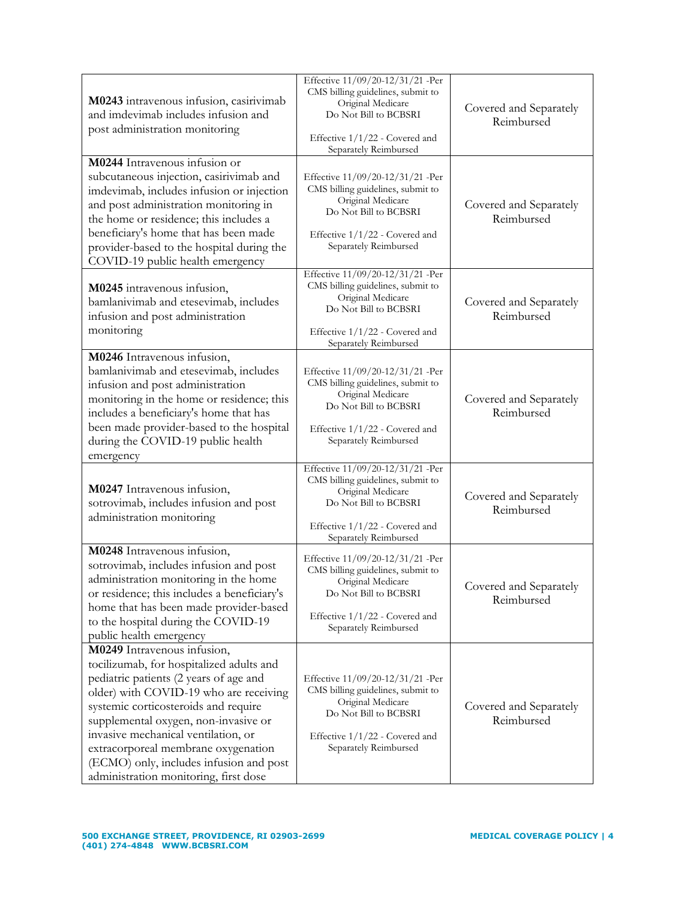| M0243 intravenous infusion, casirivimab<br>and imdevimab includes infusion and<br>post administration monitoring                                                                                                                                                                                                                                                                                              | Effective 11/09/20-12/31/21 -Per<br>CMS billing guidelines, submit to<br>Original Medicare<br>Do Not Bill to BCBSRI<br>Effective 1/1/22 - Covered and<br>Separately Reimbursed   | Covered and Separately<br>Reimbursed |
|---------------------------------------------------------------------------------------------------------------------------------------------------------------------------------------------------------------------------------------------------------------------------------------------------------------------------------------------------------------------------------------------------------------|----------------------------------------------------------------------------------------------------------------------------------------------------------------------------------|--------------------------------------|
| M0244 Intravenous infusion or<br>subcutaneous injection, casirivimab and<br>imdevimab, includes infusion or injection<br>and post administration monitoring in<br>the home or residence; this includes a<br>beneficiary's home that has been made<br>provider-based to the hospital during the<br>COVID-19 public health emergency                                                                            | Effective 11/09/20-12/31/21 -Per<br>CMS billing guidelines, submit to<br>Original Medicare<br>Do Not Bill to BCBSRI<br>Effective 1/1/22 - Covered and<br>Separately Reimbursed   | Covered and Separately<br>Reimbursed |
| M0245 intravenous infusion,<br>bamlanivimab and etesevimab, includes<br>infusion and post administration<br>monitoring                                                                                                                                                                                                                                                                                        | Effective 11/09/20-12/31/21 -Per<br>CMS billing guidelines, submit to<br>Original Medicare<br>Do Not Bill to BCBSRI<br>Effective 1/1/22 - Covered and<br>Separately Reimbursed   | Covered and Separately<br>Reimbursed |
| M0246 Intravenous infusion,<br>bamlanivimab and etesevimab, includes<br>infusion and post administration<br>monitoring in the home or residence; this<br>includes a beneficiary's home that has<br>been made provider-based to the hospital<br>during the COVID-19 public health<br>emergency                                                                                                                 | Effective 11/09/20-12/31/21 -Per<br>CMS billing guidelines, submit to<br>Original Medicare<br>Do Not Bill to BCBSRI<br>Effective 1/1/22 - Covered and<br>Separately Reimbursed   | Covered and Separately<br>Reimbursed |
| M0247 Intravenous infusion,<br>sotrovimab, includes infusion and post<br>administration monitoring                                                                                                                                                                                                                                                                                                            | Effective 11/09/20-12/31/21 -Per<br>CMS billing guidelines, submit to<br>Original Medicare<br>Do Not Bill to BCBSRI<br>Effective 1/1/22 - Covered and<br>Separately Reimbursed   | Covered and Separately<br>Reimbursed |
| M0248 Intravenous infusion,<br>sotrovimab, includes infusion and post<br>administration monitoring in the home<br>or residence; this includes a beneficiary's<br>home that has been made provider-based<br>to the hospital during the COVID-19<br>public health emergency                                                                                                                                     | Effective 11/09/20-12/31/21 -Per<br>CMS billing guidelines, submit to<br>Original Medicare<br>Do Not Bill to BCBSRI<br>Effective 1/1/22 - Covered and<br>Separately Reimbursed   | Covered and Separately<br>Reimbursed |
| M0249 Intravenous infusion,<br>tocilizumab, for hospitalized adults and<br>pediatric patients (2 years of age and<br>older) with COVID-19 who are receiving<br>systemic corticosteroids and require<br>supplemental oxygen, non-invasive or<br>invasive mechanical ventilation, or<br>extracorporeal membrane oxygenation<br>(ECMO) only, includes infusion and post<br>administration monitoring, first dose | Effective 11/09/20-12/31/21 -Per<br>CMS billing guidelines, submit to<br>Original Medicare<br>Do Not Bill to BCBSRI<br>Effective $1/1/22$ - Covered and<br>Separately Reimbursed | Covered and Separately<br>Reimbursed |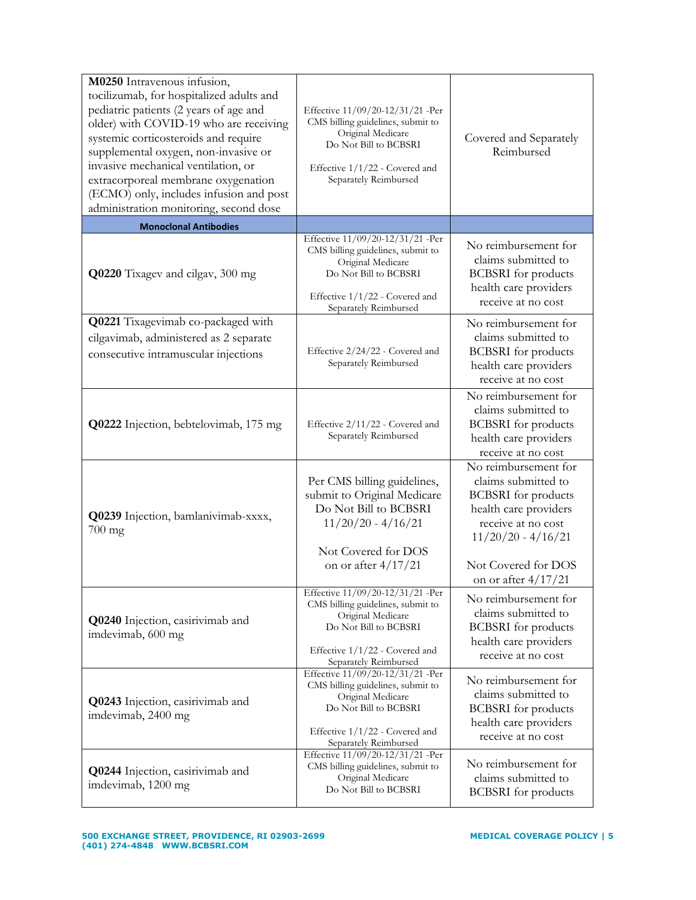| M0250 Intravenous infusion,<br>tocilizumab, for hospitalized adults and<br>pediatric patients (2 years of age and<br>older) with COVID-19 who are receiving<br>systemic corticosteroids and require<br>supplemental oxygen, non-invasive or<br>invasive mechanical ventilation, or<br>extracorporeal membrane oxygenation<br>(ECMO) only, includes infusion and post<br>administration monitoring, second dose | Effective 11/09/20-12/31/21 -Per<br>CMS billing guidelines, submit to<br>Original Medicare<br>Do Not Bill to BCBSRI<br>Effective 1/1/22 - Covered and<br>Separately Reimbursed | Covered and Separately<br>Reimbursed                                                                                                                                    |
|----------------------------------------------------------------------------------------------------------------------------------------------------------------------------------------------------------------------------------------------------------------------------------------------------------------------------------------------------------------------------------------------------------------|--------------------------------------------------------------------------------------------------------------------------------------------------------------------------------|-------------------------------------------------------------------------------------------------------------------------------------------------------------------------|
| <b>Monoclonal Antibodies</b>                                                                                                                                                                                                                                                                                                                                                                                   |                                                                                                                                                                                |                                                                                                                                                                         |
| Q0220 Tixagev and cilgav, 300 mg                                                                                                                                                                                                                                                                                                                                                                               | Effective 11/09/20-12/31/21 -Per<br>CMS billing guidelines, submit to<br>Original Medicare<br>Do Not Bill to BCBSRI<br>Effective 1/1/22 - Covered and<br>Separately Reimbursed | No reimbursement for<br>claims submitted to<br><b>BCBSRI</b> for products<br>health care providers<br>receive at no cost                                                |
| Q0221 Tixagevimab co-packaged with                                                                                                                                                                                                                                                                                                                                                                             |                                                                                                                                                                                | No reimbursement for                                                                                                                                                    |
| cilgavimab, administered as 2 separate<br>consecutive intramuscular injections                                                                                                                                                                                                                                                                                                                                 | Effective 2/24/22 - Covered and<br>Separately Reimbursed                                                                                                                       | claims submitted to<br><b>BCBSRI</b> for products<br>health care providers<br>receive at no cost                                                                        |
| Q0222 Injection, bebtelovimab, 175 mg                                                                                                                                                                                                                                                                                                                                                                          | Effective 2/11/22 - Covered and<br>Separately Reimbursed                                                                                                                       | No reimbursement for<br>claims submitted to<br><b>BCBSRI</b> for products<br>health care providers<br>receive at no cost                                                |
| Q0239 Injection, bamlanivimab-xxxx,<br>$700 \text{ mg}$                                                                                                                                                                                                                                                                                                                                                        | Per CMS billing guidelines,<br>submit to Original Medicare<br>Do Not Bill to BCBSRI<br>$11/20/20 - 4/16/21$<br>Not Covered for DOS<br>on or after $4/17/21$                    | No reimbursement for<br>claims submitted to<br><b>BCBSRI</b> for products<br>health care providers<br>receive at no cost<br>$11/20/20 - 4/16/21$<br>Not Covered for DOS |
| Q0240 Injection, casirivimab and<br>imdevimab, 600 mg                                                                                                                                                                                                                                                                                                                                                          | Effective 11/09/20-12/31/21 -Per<br>CMS billing guidelines, submit to<br>Original Medicare<br>Do Not Bill to BCBSRI<br>Effective 1/1/22 - Covered and<br>Separately Reimbursed | on or after $4/17/21$<br>No reimbursement for<br>claims submitted to<br><b>BCBSRI</b> for products<br>health care providers<br>receive at no cost                       |
| Q0243 Injection, casirivimab and<br>imdevimab, 2400 mg                                                                                                                                                                                                                                                                                                                                                         | Effective 11/09/20-12/31/21 -Per<br>CMS billing guidelines, submit to<br>Original Medicare<br>Do Not Bill to BCBSRI<br>Effective 1/1/22 - Covered and<br>Separately Reimbursed | No reimbursement for<br>claims submitted to<br><b>BCBSRI</b> for products<br>health care providers<br>receive at no cost                                                |
| <b>Q0244</b> Injection, casirivimab and<br>imdevimab, 1200 mg                                                                                                                                                                                                                                                                                                                                                  | Effective 11/09/20-12/31/21 -Per<br>CMS billing guidelines, submit to<br>Original Medicare<br>Do Not Bill to BCBSRI                                                            | No reimbursement for<br>claims submitted to<br>BCBSRI for products                                                                                                      |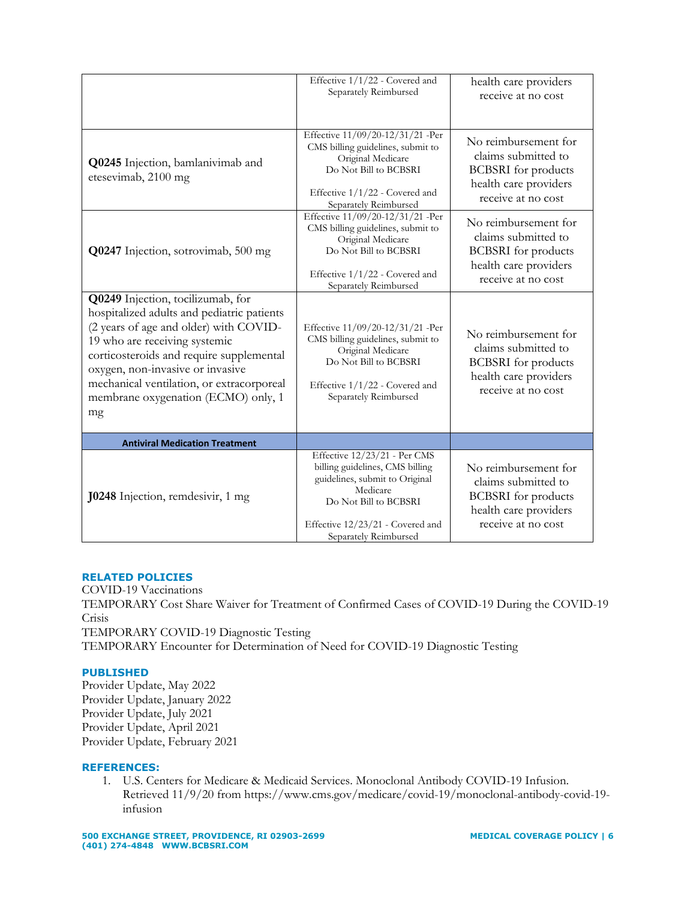|                                                                                                                                                                                                                                                                                                                                      | Effective 1/1/22 - Covered and<br>Separately Reimbursed                                                                                                                                             | health care providers<br>receive at no cost                                                                              |
|--------------------------------------------------------------------------------------------------------------------------------------------------------------------------------------------------------------------------------------------------------------------------------------------------------------------------------------|-----------------------------------------------------------------------------------------------------------------------------------------------------------------------------------------------------|--------------------------------------------------------------------------------------------------------------------------|
| Q0245 Injection, bamlanivimab and<br>etesevimab, 2100 mg                                                                                                                                                                                                                                                                             | Effective 11/09/20-12/31/21 -Per<br>CMS billing guidelines, submit to<br>Original Medicare<br>Do Not Bill to BCBSRI<br>Effective 1/1/22 - Covered and<br>Separately Reimbursed                      | No reimbursement for<br>claims submitted to<br><b>BCBSRI</b> for products<br>health care providers<br>receive at no cost |
| Q0247 Injection, sotrovimab, 500 mg                                                                                                                                                                                                                                                                                                  | Effective 11/09/20-12/31/21 -Per<br>CMS billing guidelines, submit to<br>Original Medicare<br>Do Not Bill to BCBSRI<br>Effective 1/1/22 - Covered and<br>Separately Reimbursed                      | No reimbursement for<br>claims submitted to<br><b>BCBSRI</b> for products<br>health care providers<br>receive at no cost |
| Q0249 Injection, tocilizumab, for<br>hospitalized adults and pediatric patients<br>(2 years of age and older) with COVID-<br>19 who are receiving systemic<br>corticosteroids and require supplemental<br>oxygen, non-invasive or invasive<br>mechanical ventilation, or extracorporeal<br>membrane oxygenation (ECMO) only, 1<br>mg | Effective 11/09/20-12/31/21 -Per<br>CMS billing guidelines, submit to<br>Original Medicare<br>Do Not Bill to BCBSRI<br>Effective 1/1/22 - Covered and<br>Separately Reimbursed                      | No reimbursement for<br>claims submitted to<br><b>BCBSRI</b> for products<br>health care providers<br>receive at no cost |
| <b>Antiviral Medication Treatment</b>                                                                                                                                                                                                                                                                                                |                                                                                                                                                                                                     |                                                                                                                          |
| <b>J0248</b> Injection, remdesivir, 1 mg                                                                                                                                                                                                                                                                                             | Effective 12/23/21 - Per CMS<br>billing guidelines, CMS billing<br>guidelines, submit to Original<br>Medicare<br>Do Not Bill to BCBSRI<br>Effective 12/23/21 - Covered and<br>Separately Reimbursed | No reimbursement for<br>claims submitted to<br><b>BCBSRI</b> for products<br>health care providers<br>receive at no cost |

# **RELATED POLICIES**

COVID-19 Vaccinations TEMPORARY Cost Share Waiver for Treatment of Confirmed Cases of COVID-19 During the COVID-19 Crisis TEMPORARY COVID-19 Diagnostic Testing TEMPORARY Encounter for Determination of Need for COVID-19 Diagnostic Testing

## **PUBLISHED**

Provider Update, May 2022 Provider Update, January 2022 Provider Update, July 2021 Provider Update, April 2021 Provider Update, February 2021

## **REFERENCES:**

1. U.S. Centers for Medicare & Medicaid Services. Monoclonal Antibody COVID-19 Infusion. Retrieved 11/9/20 from https://www.cms.gov/medicare/covid-19/monoclonal-antibody-covid-19 infusion